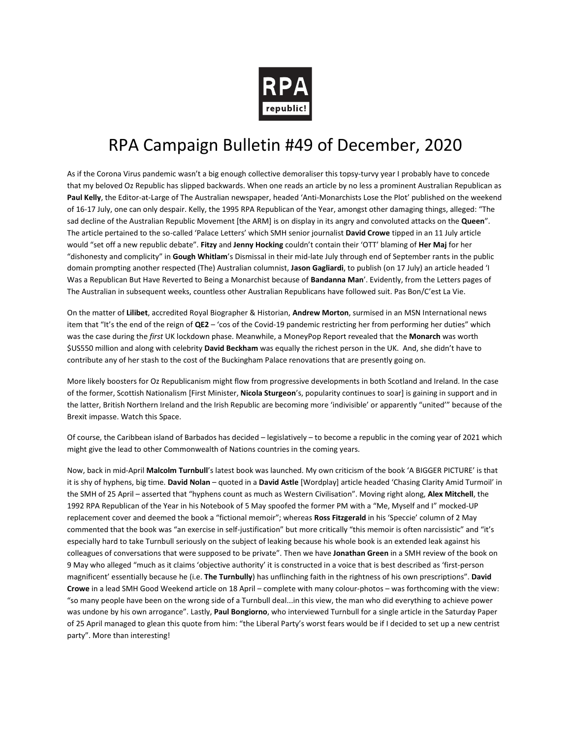

## RPA Campaign Bulletin #49 of December, 2020

As if the Corona Virus pandemic wasn't a big enough collective demoraliser this topsy-turvy year I probably have to concede that my beloved Oz Republic has slipped backwards. When one reads an article by no less a prominent Australian Republican as **Paul Kelly**, the Editor-at-Large of The Australian newspaper, headed 'Anti-Monarchists Lose the Plot' published on the weekend of 16-17 July, one can only despair. Kelly, the 1995 RPA Republican of the Year, amongst other damaging things, alleged: "The sad decline of the Australian Republic Movement [the ARM] is on display in its angry and convoluted attacks on the **Queen**". The article pertained to the so-called 'Palace Letters' which SMH senior journalist **David Crowe** tipped in an 11 July article would "set off a new republic debate". **Fitzy** and **Jenny Hocking** couldn't contain their 'OTT' blaming of **Her Maj** for her "dishonesty and complicity" in **Gough Whitlam**'s Dismissal in their mid-late July through end of September rants in the public domain prompting another respected (The) Australian columnist, **Jason Gagliardi**, to publish (on 17 July) an article headed 'I Was a Republican But Have Reverted to Being a Monarchist because of **Bandanna Man**'. Evidently, from the Letters pages of The Australian in subsequent weeks, countless other Australian Republicans have followed suit. Pas Bon/C'est La Vie.

On the matter of **Lilibet**, accredited Royal Biographer & Historian, **Andrew Morton**, surmised in an MSN International news item that "It's the end of the reign of **QE2** – 'cos of the Covid-19 pandemic restricting her from performing her duties" which was the case during the *first* UK lockdown phase. Meanwhile, a MoneyPop Report revealed that the **Monarch** was worth \$US550 million and along with celebrity **David Beckham** was equally the richest person in the UK. And, she didn't have to contribute any of her stash to the cost of the Buckingham Palace renovations that are presently going on.

More likely boosters for Oz Republicanism might flow from progressive developments in both Scotland and Ireland. In the case of the former, Scottish Nationalism [First Minister, **Nicola Sturgeon**'s, popularity continues to soar] is gaining in support and in the latter, British Northern Ireland and the Irish Republic are becoming more 'indivisible' or apparently "united'" because of the Brexit impasse. Watch this Space.

Of course, the Caribbean island of Barbados has decided – legislatively – to become a republic in the coming year of 2021 which might give the lead to other Commonwealth of Nations countries in the coming years.

Now, back in mid-April **Malcolm Turnbull**'s latest book was launched. My own criticism of the book 'A BIGGER PICTURE' is that it is shy of hyphens, big time. **David Nolan** – quoted in a **David Astle** [Wordplay] article headed 'Chasing Clarity Amid Turmoil' in the SMH of 25 April – asserted that "hyphens count as much as Western Civilisation". Moving right along, **Alex Mitchell**, the 1992 RPA Republican of the Year in his Notebook of 5 May spoofed the former PM with a "Me, Myself and I" mocked-UP replacement cover and deemed the book a "fictional memoir"; whereas **Ross Fitzgerald** in his 'Speccie' column of 2 May commented that the book was "an exercise in self-justification" but more critically "this memoir is often narcissistic" and "it's especially hard to take Turnbull seriously on the subject of leaking because his whole book is an extended leak against his colleagues of conversations that were supposed to be private". Then we have **Jonathan Green** in a SMH review of the book on 9 May who alleged "much as it claims 'objective authority' it is constructed in a voice that is best described as 'first-person magnificent' essentially because he (i.e. **The Turnbully**) has unflinching faith in the rightness of his own prescriptions". **David Crowe** in a lead SMH Good Weekend article on 18 April – complete with many colour-photos – was forthcoming with the view: "so many people have been on the wrong side of a Turnbull deal...in this view, the man who did everything to achieve power was undone by his own arrogance". Lastly, **Paul Bongiorno**, who interviewed Turnbull for a single article in the Saturday Paper of 25 April managed to glean this quote from him: "the Liberal Party's worst fears would be if I decided to set up a new centrist party". More than interesting!